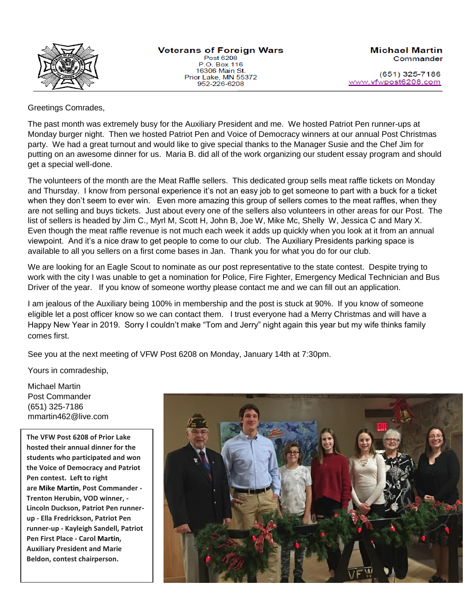

Post 6208 P.O. Box 116 16306 Main St. Prior Lake, MN 55372 952-226-6208

(651) 325-7186 www.vfwpost6208.com

## Greetings Comrades,

The past month was extremely busy for the Auxiliary President and me. We hosted Patriot Pen runner-ups at Monday burger night. Then we hosted Patriot Pen and Voice of Democracy winners at our annual Post Christmas party. We had a great turnout and would like to give special thanks to the Manager Susie and the Chef Jim for putting on an awesome dinner for us. Maria B. did all of the work organizing our student essay program and should get a special well-done.

The volunteers of the month are the Meat Raffle sellers. This dedicated group sells meat raffle tickets on Monday and Thursday. I know from personal experience it's not an easy job to get someone to part with a buck for a ticket when they don't seem to ever win. Even more amazing this group of sellers comes to the meat raffles, when they are not selling and buys tickets. Just about every one of the sellers also volunteers in other areas for our Post. The list of sellers is headed by Jim C., Myrl M, Scott H, John B, Joe W, Mike Mc, Shelly W, Jessica C and Mary X. Even though the meat raffle revenue is not much each week it adds up quickly when you look at it from an annual viewpoint. And it's a nice draw to get people to come to our club. The Auxiliary Presidents parking space is available to all you sellers on a first come bases in Jan. Thank you for what you do for our club.

We are looking for an Eagle Scout to nominate as our post representative to the state contest. Despite trying to work with the city I was unable to get a nomination for Police, Fire Fighter, Emergency Medical Technician and Bus Driver of the year. If you know of someone worthy please contact me and we can fill out an application.

I am jealous of the Auxiliary being 100% in membership and the post is stuck at 90%. If you know of someone eligible let a post officer know so we can contact them. I trust everyone had a Merry Christmas and will have a Happy New Year in 2019. Sorry I couldn't make "Tom and Jerry" night again this year but my wife thinks family comes first.

See you at the next meeting of VFW Post 6208 on Monday, January 14th at 7:30pm.

Yours in comradeship,

Michael Martin Post Commander (651) 325-7186 mmartin462@live.com

**The VFW Post 6208 of Prior Lake hosted their annual dinner for the students who participated and won the Voice of Democracy and Patriot Pen contest. Left to right are Mike Martin, Post Commander - Trenton Herubin, VOD winner, - Lincoln Duckson, Patriot Pen runnerup - Ella Fredrickson, Patriot Pen runner-up - Kayleigh Sandell, Patriot Pen First Place - Carol Martin, Auxiliary President and Marie Beldon, contest chairperson.**

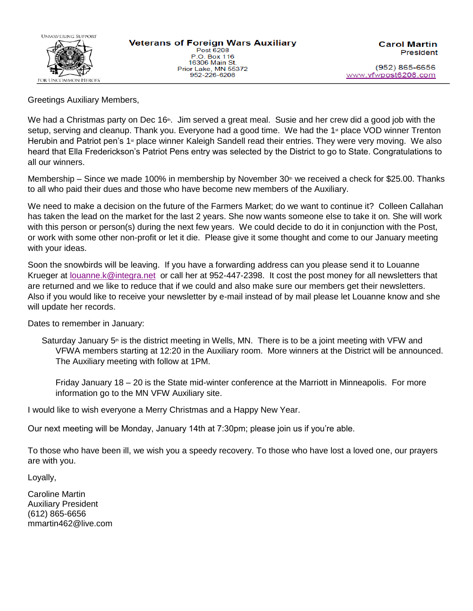

Greetings Auxiliary Members,

We had a Christmas party on Dec 16<sup>th</sup>. Jim served a great meal. Susie and her crew did a good job with the setup, serving and cleanup. Thank you. Everyone had a good time. We had the 1<sup>st</sup> place VOD winner Trenton Herubin and Patriot pen's 1<sup>st</sup> place winner Kaleigh Sandell read their entries. They were very moving. We also heard that Ella Frederickson's Patriot Pens entry was selected by the District to go to State. Congratulations to all our winners.

Membership – Since we made 100% in membership by November  $30<sup>th</sup>$  we received a check for \$25.00. Thanks to all who paid their dues and those who have become new members of the Auxiliary.

We need to make a decision on the future of the Farmers Market; do we want to continue it? Colleen Callahan has taken the lead on the market for the last 2 years. She now wants someone else to take it on. She will work with this person or person(s) during the next few years. We could decide to do it in conjunction with the Post, or work with some other non-profit or let it die. Please give it some thought and come to our January meeting with your ideas.

Soon the snowbirds will be leaving. If you have a forwarding address can you please send it to Louanne Krueger at [louanne.k@integra.net](mailto:louanne.k@integra.net) or call her at 952-447-2398. It cost the post money for all newsletters that are returned and we like to reduce that if we could and also make sure our members get their newsletters. Also if you would like to receive your newsletter by e-mail instead of by mail please let Louanne know and she will update her records.

Dates to remember in January:

Saturday January 5<sup>th</sup> is the district meeting in Wells, MN. There is to be a joint meeting with VFW and VFWA members starting at 12:20 in the Auxiliary room. More winners at the District will be announced. The Auxiliary meeting with follow at 1PM.

Friday January 18 – 20 is the State mid-winter conference at the Marriott in Minneapolis. For more information go to the MN VFW Auxiliary site.

I would like to wish everyone a Merry Christmas and a Happy New Year.

Our next meeting will be Monday, January 14th at 7:30pm; please join us if you're able.

To those who have been ill, we wish you a speedy recovery. To those who have lost a loved one, our prayers are with you.

Loyally,

Caroline Martin Auxiliary President (612) 865-6656 mmartin462@live.com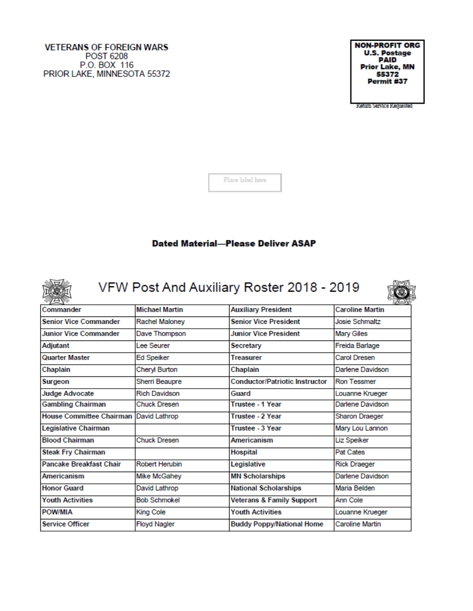#### **VETERANS OF FOREIGN WARS POST 6208** P.O. BOX 116 PRIOR LAKE, MINNESOTA 55372

**NON-PROFIT ORG U.S. Postage**<br>PAID **Prior Lake, MN** 55372 Permit #37

Keturn Service Kequested

S.

Place label here

## **Dated Material-Please Deliver ASAP**



VFW Post And Auxiliary Roster 2018 - 2019

| <b>Michael Martin</b><br>Commander |                       | <b>Auxiliary President</b>            | <b>Caroline Martin</b> |  |  |
|------------------------------------|-----------------------|---------------------------------------|------------------------|--|--|
| <b>Senior Vice Commander</b>       | Rachel Maloney        | <b>Senior Vice President</b>          | Josie Schmaltz         |  |  |
| <b>Junior Vice Commander</b>       | Dave Thompson         | <b>Junior Vice President</b>          | Mary Giles             |  |  |
| Adjutant                           | Lee Seurer            | Secretary                             | Freida Barlage         |  |  |
| Quarter Master                     | Ed Speiker            | <b>Treasurer</b>                      | Carol Dresen           |  |  |
| Chaplain                           | Cheryl Burton         | Chaplain                              | Darlene Davidson       |  |  |
| Surgeon                            | Sherri Beaupre        | <b>Conductor/Patriotic Instructor</b> | <b>Ron Tessmer</b>     |  |  |
| <b>Judge Advocate</b>              | <b>Rich Davidson</b>  | Guard                                 | Louanne Krueger        |  |  |
| <b>Gambling Chairman</b>           | Chuck Dresen          | <b>Trustee - 1 Year</b>               | Darlene Davidson       |  |  |
| <b>House Committee Chairman</b>    | David Lathrop         | Trustee - 2 Year                      | Sharon Draeger         |  |  |
| Legislative Chairman               |                       | Trustee - 3 Year                      | Mary Lou Lannon        |  |  |
| <b>Blood Chairman</b>              | <b>Chuck Dresen</b>   | <b>Americanism</b>                    | Liz Speiker            |  |  |
| <b>Steak Fry Chairman</b>          |                       | Hospital                              | Pat Cates              |  |  |
| <b>Pancake Breakfast Chair</b>     | <b>Robert Herubin</b> | Legislative                           | <b>Rick Draeger</b>    |  |  |
| Americanism                        | Mike McGahey          | <b>MN Scholarships</b>                | Darlene Davidson       |  |  |
| <b>Honor Guard</b>                 | David Lathrop         | <b>National Scholarships</b>          | Maria Belden           |  |  |
| <b>Youth Activities</b>            | <b>Bob Schmokel</b>   | <b>Veterans &amp; Family Support</b>  | Ann Cole               |  |  |
| POW/MIA                            | <b>King Cole</b>      | <b>Youth Activities</b>               | Louanne Krueger        |  |  |
| <b>Service Officer</b>             | <b>Floyd Nagler</b>   | <b>Buddy Poppy/National Home</b>      | Caroline Martin        |  |  |